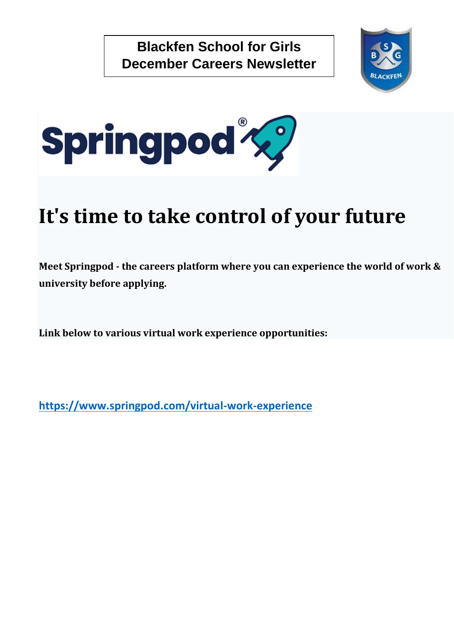



# **It's time to take control of your future**

**Meet Springpod - the careers platform where you can experience the world of work & university before applying.**

**Link below to various virtual work experience opportunities:**

**<https://www.springpod.com/virtual-work-experience>**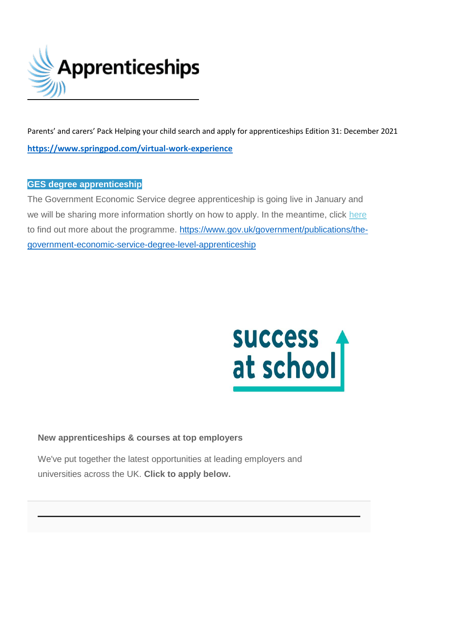

Parents' and carers' Pack Helping your child search and apply for apprenticeships Edition 31: December 2021 **<https://www.springpod.com/virtual-work-experience>**

## **GES degree apprenticeship**

The Government Economic Service degree apprenticeship is going live in January and we will be sharing more information shortly on how to apply. In the meantime, click [here](https://amazingapprenticeships.us11.list-manage.com/track/click?u=9f89f859eb0be9d437b1414c3&id=0b6e41b85d&e=decb61ea9c) to find out more about the programme. [https://www.gov.uk/government/publications/the](https://www.gov.uk/government/publications/the-government-economic-service-degree-level-apprenticeship)[government-economic-service-degree-level-apprenticeship](https://www.gov.uk/government/publications/the-government-economic-service-degree-level-apprenticeship)



## **New apprenticeships & courses at top employers**

We've put together the latest opportunities at leading employers and universities across the UK. **Click to apply below.**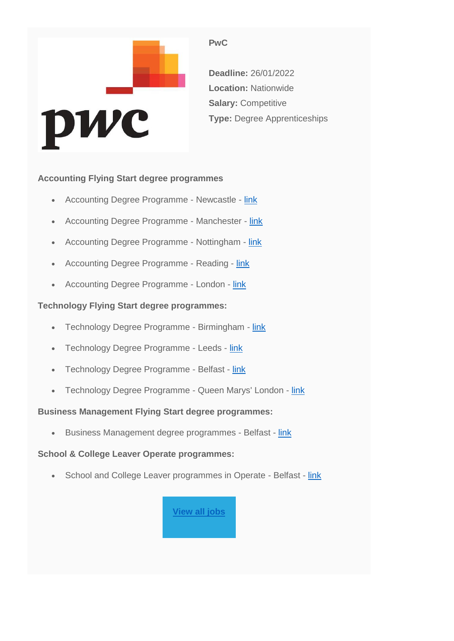

## **PwC**

**Deadline:** 26/01/2022 **Location:** Nationwide **Salary:** Competitive **Type:** Degree Apprenticeships

## **Accounting Flying Start degree programmes**

- Accounting Degree Programme Newcastle [link](https://successatschool.us3.list-manage.com/track/click?u=2c038531b25876a2c7c9cf8b1&id=609fdb6c3d&e=3a91abdc96)
- Accounting Degree Programme Manchester [link](https://successatschool.us3.list-manage.com/track/click?u=2c038531b25876a2c7c9cf8b1&id=8c9bf08be4&e=3a91abdc96)
- Accounting Degree Programme Nottingham [link](https://successatschool.us3.list-manage.com/track/click?u=2c038531b25876a2c7c9cf8b1&id=4b98822e09&e=3a91abdc96)
- Accounting Degree Programme Reading [link](https://successatschool.us3.list-manage.com/track/click?u=2c038531b25876a2c7c9cf8b1&id=ccd33937f7&e=3a91abdc96)
- Accounting Degree Programme London [link](https://successatschool.us3.list-manage.com/track/click?u=2c038531b25876a2c7c9cf8b1&id=471bd45912&e=3a91abdc96)

## **Technology Flying Start degree programmes:**

- Technology Degree Programme Birmingham [link](https://successatschool.us3.list-manage.com/track/click?u=2c038531b25876a2c7c9cf8b1&id=2dcd7e5d8a&e=3a91abdc96)
- Technology Degree Programme Leeds [link](https://successatschool.us3.list-manage.com/track/click?u=2c038531b25876a2c7c9cf8b1&id=5ed07c773c&e=3a91abdc96)
- Technology Degree Programme Belfast [link](https://successatschool.us3.list-manage.com/track/click?u=2c038531b25876a2c7c9cf8b1&id=ba67aef8f1&e=3a91abdc96)
- Technology Degree Programme Queen Marys' London [link](https://successatschool.us3.list-manage.com/track/click?u=2c038531b25876a2c7c9cf8b1&id=a0b8839e0c&e=3a91abdc96)

## **Business Management Flying Start degree programmes:**

• Business Management degree programmes - Belfast - [link](https://successatschool.us3.list-manage.com/track/click?u=2c038531b25876a2c7c9cf8b1&id=388e8ee247&e=3a91abdc96)

## **School & College Leaver Operate programmes:**

• School and College Leaver programmes in Operate - Belfast - [link](https://successatschool.us3.list-manage.com/track/click?u=2c038531b25876a2c7c9cf8b1&id=dcd171e9ea&e=3a91abdc96)

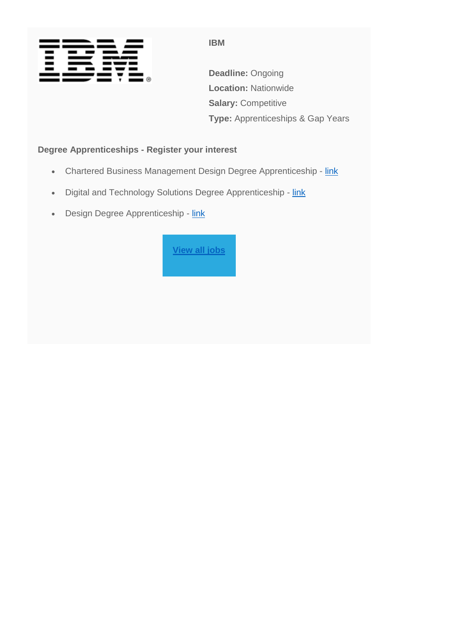

**IBM**

**Deadline:** Ongoing **Location:** Nationwide **Salary: Competitive Type:** Apprenticeships & Gap Years

## **Degree Apprenticeships - Register your interest**

- Chartered Business Management Design Degree Apprenticeship [link](https://successatschool.us3.list-manage.com/track/click?u=2c038531b25876a2c7c9cf8b1&id=3b71160333&e=3a91abdc96)
- Digital and Technology Solutions Degree Apprenticeship [link](https://successatschool.us3.list-manage.com/track/click?u=2c038531b25876a2c7c9cf8b1&id=7735725389&e=3a91abdc96)
- Design Degree Apprenticeship [link](https://successatschool.us3.list-manage.com/track/click?u=2c038531b25876a2c7c9cf8b1&id=8561a2cac9&e=3a91abdc96)

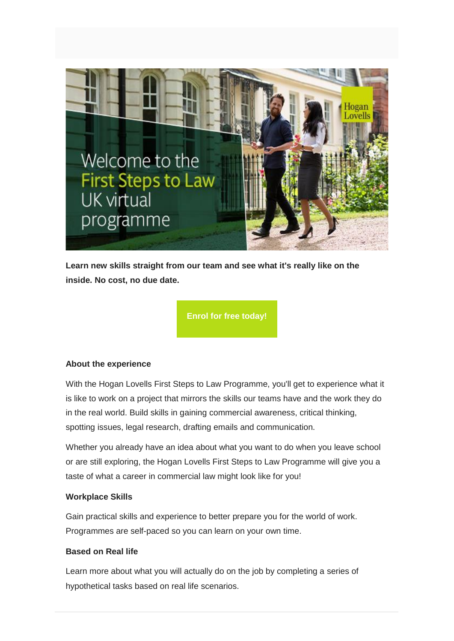

**Learn new skills straight from our team and see what it's really like on the inside. No cost, no due date.**

**[Enrol for free today!](https://successatschool.us3.list-manage.com/track/click?u=2c038531b25876a2c7c9cf8b1&id=151919084e&e=3a91abdc96)**

### **About the experience**

With the Hogan Lovells First Steps to Law Programme, you'll get to experience what it is like to work on a project that mirrors the skills our teams have and the work they do in the real world. Build skills in gaining commercial awareness, critical thinking, spotting issues, legal research, drafting emails and communication.

Whether you already have an idea about what you want to do when you leave school or are still exploring, the Hogan Lovells First Steps to Law Programme will give you a taste of what a career in commercial law might look like for you!

## **Workplace Skills**

Gain practical skills and experience to better prepare you for the world of work. Programmes are self-paced so you can learn on your own time.

### **Based on Real life**

Learn more about what you will actually do on the job by completing a series of hypothetical tasks based on real life scenarios.